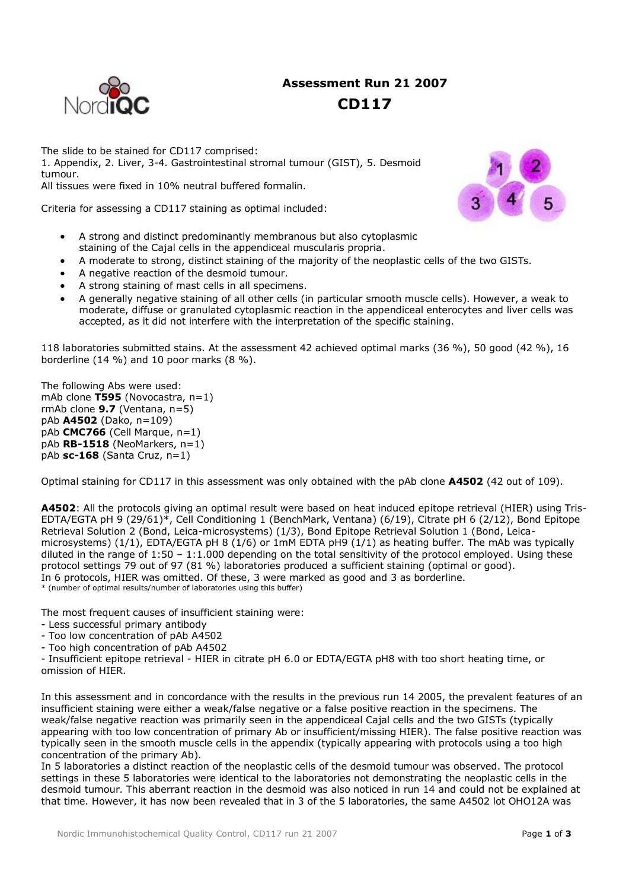# **Assessment Run 21 2007**



## **CD117**

The slide to be stained for CD117 comprised: 1. Appendix, 2. Liver, 3-4. Gastrointestinal stromal tumour (GIST), 5. Desmoid tumour. All tissues were fixed in 10% neutral buffered formalin.

Criteria for assessing a CD117 staining as optimal included:

- A strong and distinct predominantly membranous but also cytoplasmic staining of the Cajal cells in the appendiceal muscularis propria.
- A moderate to strong, distinct staining of the majority of the neoplastic cells of the two GISTs.
- A negative reaction of the desmoid tumour.
- A strong staining of mast cells in all specimens.
- A generally negative staining of all other cells (in particular smooth muscle cells). However, a weak to moderate, diffuse or granulated cytoplasmic reaction in the appendiceal enterocytes and liver cells was accepted, as it did not interfere with the interpretation of the specific staining.

118 laboratories submitted stains. At the assessment 42 achieved optimal marks (36 %), 50 good (42 %), 16 borderline (14 %) and 10 poor marks (8 %).

The following Abs were used: mAb clone T595 (Novocastra, n=1) rmAb clone **9.7** (Ventana, n=5) pAb **A4502** (Dako, n=109) pAb **CMC766** (Cell Marque, n=1) pAb **RB-1518** (NeoMarkers, n=1) pAb **sc-168** (Santa Cruz, n=1)

Optimal staining for CD117 in this assessment was only obtained with the pAb clone **A4502** (42 out of 109).

**A4502**: All the protocols giving an optimal result were based on heat induced epitope retrieval (HIER) using Tris-EDTA/EGTA pH 9 (29/61)\*, Cell Conditioning 1 (BenchMark, Ventana) (6/19), Citrate pH 6 (2/12), Bond Epitope Retrieval Solution 2 (Bond, Leica-microsystems) (1/3), Bond Epitope Retrieval Solution 1 (Bond, Leicamicrosystems) (1/1), EDTA/EGTA pH 8 (1/6) or 1mM EDTA pH9 (1/1) as heating buffer. The mAb was typically diluted in the range of  $1:50 - 1:1.000$  depending on the total sensitivity of the protocol employed. Using these protocol settings 79 out of 97 (81 %) laboratories produced a sufficient staining (optimal or good). In 6 protocols, HIER was omitted. Of these, 3 were marked as good and 3 as borderline.

\* (number of optimal results/number of laboratories using this buffer)

The most frequent causes of insufficient staining were:

- Less successful primary antibody
- Too low concentration of pAb A4502
- Too high concentration of pAb A4502

- Insufficient epitope retrieval - HIER in citrate pH 6.0 or EDTA/EGTA pH8 with too short heating time, or omission of HIER.

In this assessment and in concordance with the results in the previous run 14 2005, the prevalent features of an insufficient staining were either a weak/false negative or a false positive reaction in the specimens. The weak/false negative reaction was primarily seen in the appendiceal Cajal cells and the two GISTs (typically appearing with too low concentration of primary Ab or insufficient/missing HIER). The false positive reaction was typically seen in the smooth muscle cells in the appendix (typically appearing with protocols using a too high concentration of the primary Ab).

In 5 laboratories a distinct reaction of the neoplastic cells of the desmoid tumour was observed. The protocol settings in these 5 laboratories were identical to the laboratories not demonstrating the neoplastic cells in the desmoid tumour. This aberrant reaction in the desmoid was also noticed in run 14 and could not be explained at that time. However, it has now been revealed that in 3 of the 5 laboratories, the same A4502 lot OHO12A was

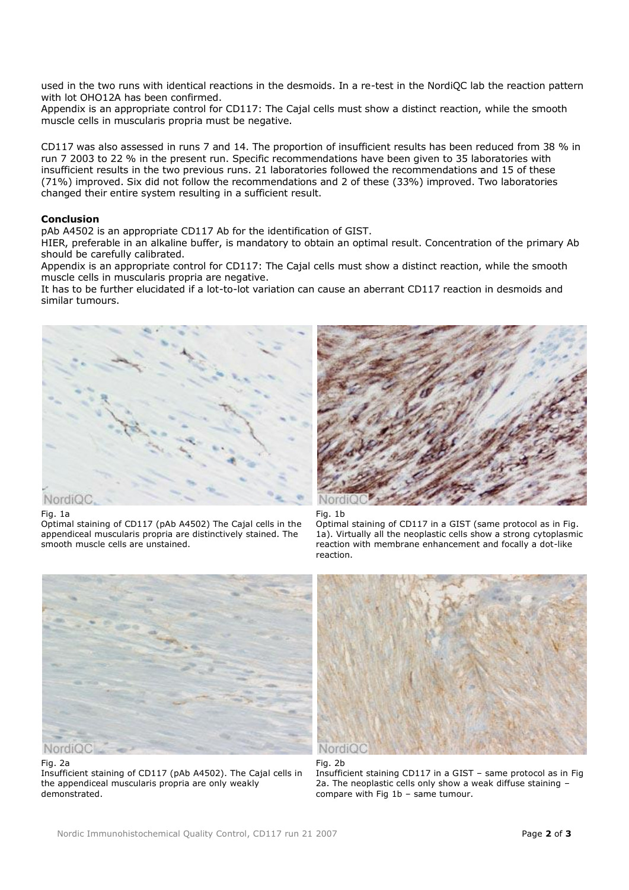used in the two runs with identical reactions in the desmoids. In a re-test in the NordiQC lab the reaction pattern with lot OHO12A has been confirmed.

Appendix is an appropriate control for CD117: The Cajal cells must show a distinct reaction, while the smooth muscle cells in muscularis propria must be negative.

CD117 was also assessed in runs 7 and 14. The proportion of insufficient results has been reduced from 38 % in run 7 2003 to 22 % in the present run. Specific recommendations have been given to 35 laboratories with insufficient results in the two previous runs. 21 laboratories followed the recommendations and 15 of these (71%) improved. Six did not follow the recommendations and 2 of these (33%) improved. Two laboratories changed their entire system resulting in a sufficient result.

### **Conclusion**

pAb A4502 is an appropriate CD117 Ab for the identification of GIST.

HIER, preferable in an alkaline buffer, is mandatory to obtain an optimal result. Concentration of the primary Ab should be carefully calibrated.

Appendix is an appropriate control for CD117: The Cajal cells must show a distinct reaction, while the smooth muscle cells in muscularis propria are negative.

It has to be further elucidated if a lot-to-lot variation can cause an aberrant CD117 reaction in desmoids and similar tumours.



#### Fig. 1a

Optimal staining of CD117 (pAb A4502) The Cajal cells in the appendiceal muscularis propria are distinctively stained. The smooth muscle cells are unstained.



#### Fig. 1b

Optimal staining of CD117 in a GIST (same protocol as in Fig. 1a). Virtually all the neoplastic cells show a strong cytoplasmic reaction with membrane enhancement and focally a dot-like reaction.



Fig. 2a

Insufficient staining of CD117 (pAb A4502). The Cajal cells in the appendiceal muscularis propria are only weakly demonstrated.



#### Fig. 2b

Insufficient staining CD117 in a GIST – same protocol as in Fig 2a. The neoplastic cells only show a weak diffuse staining – compare with Fig 1b – same tumour.